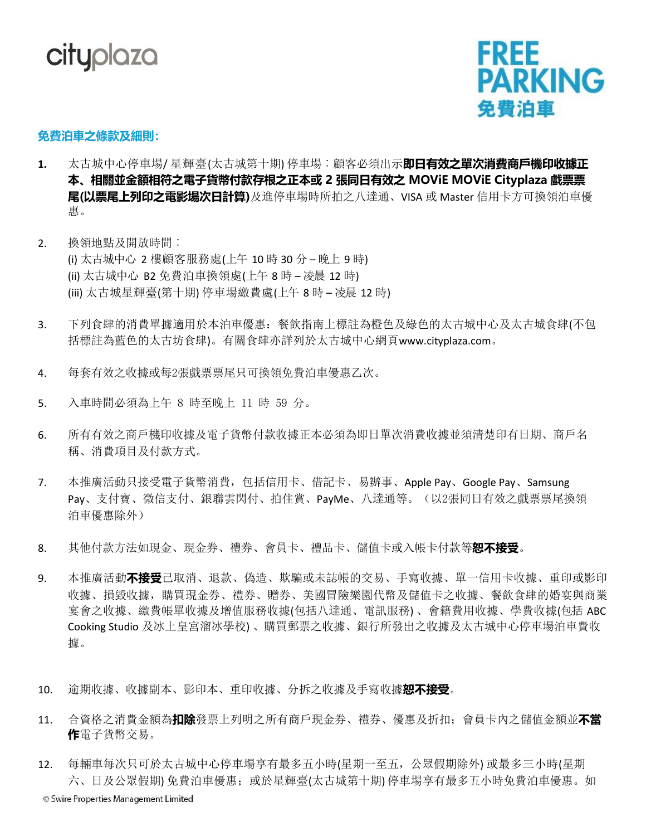



## **免費泊車之條款及細則:**

- **1.** 太古城中心停車場/ 星輝臺(太古城第十期) 停車場︰顧客必須出示**即日有效之單次消費商戶機印收據正 本、相關並金額相符之電子貨幣付款存根之正本或 2 張同日有效之 MOViE MOViE Cityplaza 戲票票 尾(以票尾上列印之電影場次日計算)**及進停車場時所拍之八達通、VISA 或 Master 信用卡方可換領泊車優 惠。
- 2. 換領地點及開放時間︰ (i) 太古城中心 2 樓顧客服務處(上午 10 時 30 分 – 晚上 9 時) (ii) 太古城中心 B2 免費泊車換領處(上午 8 時 – 凌晨 12 時) (iii) 太古城星輝臺(第十期) 停車場繳費處(上午 8 時 – 凌晨 12 時)
- 3. 下列食肆的消費單據適用於本泊車優惠:餐飲指南上標註為橙色及綠色的太古城中心及太古城食肆(不包 括標註為藍色的太古坊食肆)。有關食肆亦詳列於太古城中心網頁[www.cityplaza.com](http://www.cityplaza.com/)。
- 4. 每套有效之收據或每2張戲票票尾只可換領免費泊車優惠乙次。
- 5. 入車時間必須為上午 8 時至晚上 11 時 59 分。
- 6. 所有有效之商戶機印收據及電子貨幣付款收據正本必須為即日單次消費收據並須清楚印有日期、商戶名 稱、消費項目及付款方式。
- 7. 本推廣活動只接受電子貨幣消費,包括信用卡、借記卡、易辦事、Apple Pay、Google Pay、Samsung Pay、支付寶、微信支付、銀聯雲閃付、拍住賞、PayMe、八達通等。(以2張同日有效之戲票票尾換領 泊車優惠除外)
- 8. 其他付款方法如現金、現金券、禮券、會員卡、禮品卡、儲值卡或入帳卡付款等**恕不接受**。
- 9. 本推廣活動**不接受**已取消、退款、偽造、欺騙或未誌帳的交易、手寫收據、單一信用卡收據、重印或影印 收據、損毀收據,購買現金券、禮券、贈券、美國冒險樂園代幣及儲值卡之收據、餐飲食肆的婚宴與商業 宴會之收據、繳費帳單收據及增值服務收據(包括八達通、電訊服務) 、會籍費用收據、學費收據(包括 ABC Cooking Studio 及冰上皇宮溜冰學校) 、購買郵票之收據、銀行所發出之收據及太古城中心停車場泊車費收 據。
- 10. 逾期收據、收據副本、影印本、重印收據、分拆之收據及手寫收據**恕不接受**。
- 11. 合資格之消費金額為**扣除**發票上列明之所有商戶現金券、禮券、優惠及折扣;會員卡內之儲值金額並**不當 作**電子貨幣交易。
- 12. 每輛車每次只可於太古城中心停車場享有最多五小時(星期一至五,公眾假期除外) 或最多三小時(星期 六、日及公眾假期) 免費泊車優惠;或於星輝臺(太古城第十期) 停車場享有最多五小時免費泊車優惠。如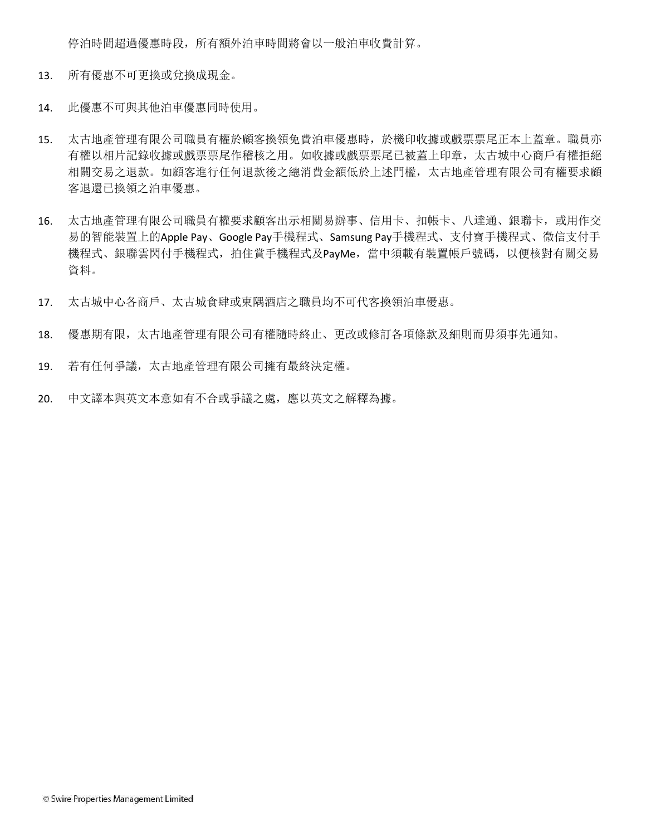停泊時間超過優惠時段,所有額外泊車時間將會以一般泊車收費計算。

- 13. 所有優惠不可更換或兌換成現金。
- 14. 此優惠不可與其他泊車優惠同時使用。
- 15. 太古地產管理有限公司職員有權於顧客換領免費泊車優惠時,於機印收據或戲票票尾正本上蓋章。職員亦 有權以相片記錄收據或戲票票尾作稽核之用。如收據或戲票票尾已被蓋上印章,太古城中心商戶有權拒絕 相關交易之退款。如顧客進行任何退款後之總消費金額低於上述門檻,太古地產管理有限公司有權要求顧 客退還已換領之泊車優惠。
- 16. 太古地產管理有限公司職員有權要求顧客出示相關易辦事、信用卡、扣帳卡、八達通、銀聯卡,或用作交 易的智能裝置上的Apple Pay、Google Pay手機程式、Samsung Pay手機程式、支付寶手機程式、微信支付手 機程式、銀聯雲閃付手機程式,拍住賞手機程式及PayMe,當中須載有裝置帳戶號碼,以便核對有關交易 資料。
- 17. 太古城中心各商戶、太古城食肆或東隅酒店之職員均不可代客換領泊車優惠。
- 18. 優惠期有限,太古地產管理有限公司有權隨時終止、更改或修訂各項條款及細則而毋須事先通知。
- 19. 若有任何爭議,太古地產管理有限公司擁有最終決定權。
- 20. 中文譯本與英文本意如有不合或爭議之處,應以英文之解釋為據。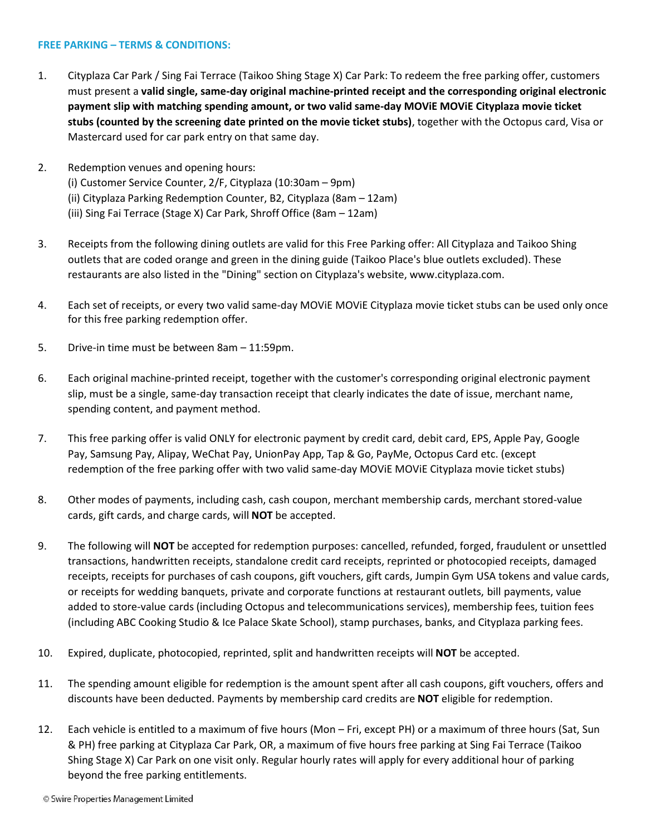## **FREE PARKING – TERMS & CONDITIONS:**

- 1. Cityplaza Car Park / Sing Fai Terrace (Taikoo Shing Stage X) Car Park: To redeem the free parking offer, customers must present a **valid single, same-day original machine-printed receipt and the corresponding original electronic payment slip with matching spending amount, or two valid same-day MOViE MOViE Cityplaza movie ticket stubs (counted by the screening date printed on the movie ticket stubs)**, together with the Octopus card, Visa or Mastercard used for car park entry on that same day.
- 2. Redemption venues and opening hours: (i) Customer Service Counter, 2/F, Cityplaza (10:30am – 9pm) (ii) Cityplaza Parking Redemption Counter, B2, Cityplaza (8am – 12am) (iii) Sing Fai Terrace (Stage X) Car Park, Shroff Office (8am – 12am)
- 3. Receipts from the following dining outlets are valid for this Free Parking offer: All Cityplaza and Taikoo Shing outlets that are coded orange and green in the dining guide (Taikoo Place's blue outlets excluded). These restaurants are also listed in the "Dining" section on Cityplaza's website, [www.cityplaza.com.](http://www.cityplaza.com/)
- 4. Each set of receipts, or every two valid same-day MOViE MOViE Cityplaza movie ticket stubs can be used only once for this free parking redemption offer.
- 5. Drive-in time must be between 8am 11:59pm.
- 6. Each original machine-printed receipt, together with the customer's corresponding original electronic payment slip, must be a single, same-day transaction receipt that clearly indicates the date of issue, merchant name, spending content, and payment method.
- 7. This free parking offer is valid ONLY for electronic payment by credit card, debit card, EPS, Apple Pay, Google Pay, Samsung Pay, Alipay, WeChat Pay, UnionPay App, Tap & Go, PayMe, Octopus Card etc. (except redemption of the free parking offer with two valid same-day MOViE MOViE Cityplaza movie ticket stubs)
- 8. Other modes of payments, including cash, cash coupon, merchant membership cards, merchant stored-value cards, gift cards, and charge cards, will **NOT** be accepted.
- 9. The following will **NOT** be accepted for redemption purposes: cancelled, refunded, forged, fraudulent or unsettled transactions, handwritten receipts, standalone credit card receipts, reprinted or photocopied receipts, damaged receipts, receipts for purchases of cash coupons, gift vouchers, gift cards, Jumpin Gym USA tokens and value cards, or receipts for wedding banquets, private and corporate functions at restaurant outlets, bill payments, value added to store-value cards (including Octopus and telecommunications services), membership fees, tuition fees (including ABC Cooking Studio & Ice Palace Skate School), stamp purchases, banks, and Cityplaza parking fees.
- 10. Expired, duplicate, photocopied, reprinted, split and handwritten receipts will **NOT** be accepted.
- 11. The spending amount eligible for redemption is the amount spent after all cash coupons, gift vouchers, offers and discounts have been deducted. Payments by membership card credits are **NOT** eligible for redemption.
- 12. Each vehicle is entitled to a maximum of five hours (Mon Fri, except PH) or a maximum of three hours (Sat, Sun & PH) free parking at Cityplaza Car Park, OR, a maximum of five hours free parking at Sing Fai Terrace (Taikoo Shing Stage X) Car Park on one visit only. Regular hourly rates will apply for every additional hour of parking beyond the free parking entitlements.